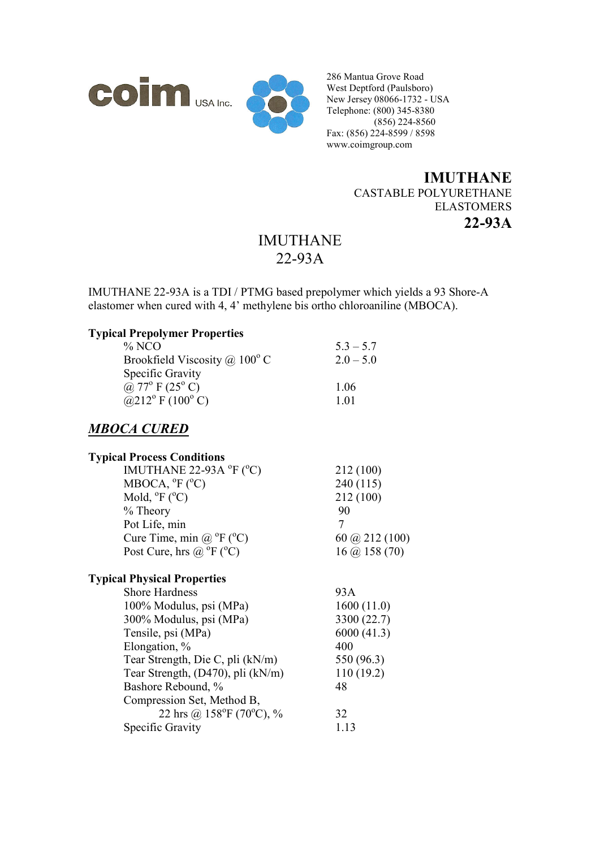



286 Mantua Grove Road West Deptford (Paulsboro) New Jersey 08066-1732 - USA Telephone: (800) 345-8380  $(856)$  224-8560 Fax: (856) 224-8599 / 8598 www.coimgroup.com

## **IMUTHANE**  CASTABLE POLYURETHANE ELASTOMERS **22-93A**

## IMUTHANE 22-93A

IMUTHANE 22-93A is a TDI / PTMG based prepolymer which yields a 93 Shore-A elastomer when cured with 4, 4' methylene bis ortho chloroaniline (MBOCA).

#### **Typical Prepolymer Properties**

| $\%$ NCO                               | $53 - 57$   |
|----------------------------------------|-------------|
| Brookfield Viscosity @ $100^{\circ}$ C | $2.0 - 5.0$ |
| Specific Gravity                       |             |
| @ $77^{\circ}$ F (25 <sup>°</sup> C)   | 1.06        |
| @212° F (100° C)                       | 1 0 1       |

## *MBOCA CURED*

### **Typical Process Conditions**

| IMUTHANE 22-93A $^{\circ}$ F ( $^{\circ}$ C)  | 212 (100)               |
|-----------------------------------------------|-------------------------|
| MBOCA, ${}^{\circ}F$ ( ${}^{\circ}C$ )        | 240 (115)               |
| Mold, ${}^{\circ}F$ ( ${}^{\circ}C$ )         | 212(100)                |
| $%$ Theory                                    | 90                      |
| Pot Life, min                                 |                         |
| Cure Time, min @ $^{\circ}$ F ( $^{\circ}$ C) | 60 ( $\omega$ 212 (100) |
| Post Cure, hrs @ $^{\circ}$ F ( $^{\circ}$ C) | $16$ (a) $158$ (70)     |

#### **Typical Physical Properties**

| <b>Shore Hardness</b>                    | 93A         |
|------------------------------------------|-------------|
| 100% Modulus, psi (MPa)                  | 1600(11.0)  |
| 300% Modulus, psi (MPa)                  | 3300 (22.7) |
| Tensile, psi (MPa)                       | 6000(41.3)  |
| Elongation, %                            | 400         |
| Tear Strength, Die C, pli (kN/m)         | 550 (96.3)  |
| Tear Strength, (D470), pli (kN/m)        | 110(19.2)   |
| Bashore Rebound, %                       | 48          |
| Compression Set, Method B,               |             |
| 22 hrs @ $158^{\circ}F(70^{\circ}C)$ , % | 32          |
| Specific Gravity                         | 1.13        |
|                                          |             |